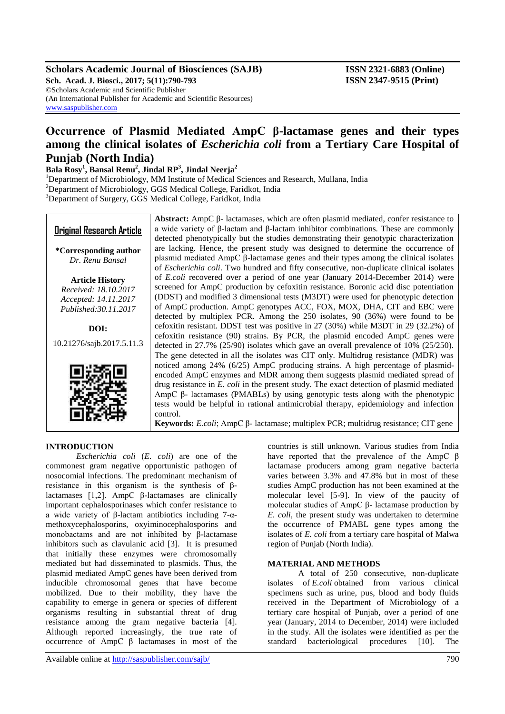# **Scholars Academic Journal of Biosciences (SAJB) ISSN 2321-6883 (Online)**

**Sch. Acad. J. Biosci., 2017; 5(11):790-793 ISSN 2347-9515 (Print)** ©Scholars Academic and Scientific Publisher (An International Publisher for Academic and Scientific Resources) [www.saspublisher.com](http://www.saspublisher.com/)

# **Occurrence of Plasmid Mediated AmpC β-lactamase genes and their types among the clinical isolates of** *Escherichia coli* **from a Tertiary Care Hospital of Punjab (North India)**

**Bala Rosy<sup>1</sup> , Bansal Renu<sup>2</sup> , Jindal RP<sup>3</sup> , Jindal Neerja<sup>2</sup>**

<sup>1</sup>Department of Microbiology, MM Institute of Medical Sciences and Research, Mullana, India

<sup>2</sup>Department of Microbiology, GGS Medical College, Faridkot, India

<sup>3</sup>Department of Surgery, GGS Medical College, Faridkot, India

## **Original Research Article**

**\*Corresponding author** *Dr. Renu Bansal*

**Article History** *Received: 18.10.2017 Accepted: 14.11.2017 Published:30.11.2017*

**DOI:** 10.21276/sajb.2017.5.11.3



**Abstract:** AmpC β- lactamases, which are often plasmid mediated, confer resistance to a wide variety of β-lactam and β-lactam inhibitor combinations. These are commonly detected phenotypically but the studies demonstrating their genotypic characterization are lacking. Hence, the present study was designed to determine the occurrence of plasmid mediated AmpC β-lactamase genes and their types among the clinical isolates of *Escherichia coli*. Two hundred and fifty consecutive, non-duplicate clinical isolates of *E.coli* recovered over a period of one year (January 2014-December 2014) were screened for AmpC production by cefoxitin resistance. Boronic acid disc potentiation (DDST) and modified 3 dimensional tests (M3DT) were used for phenotypic detection of AmpC production. AmpC genotypes ACC, FOX, MOX, DHA, CIT and EBC were detected by multiplex PCR. Among the 250 isolates, 90 (36%) were found to be cefoxitin resistant. DDST test was positive in 27 (30%) while M3DT in 29 (32.2%) of cefoxitin resistance (90) strains. By PCR, the plasmid encoded AmpC genes were detected in 27.7% (25/90) isolates which gave an overall prevalence of 10% (25/250). The gene detected in all the isolates was CIT only. Multidrug resistance (MDR) was noticed among 24% (6/25) AmpC producing strains*.* A high percentage of plasmidencoded AmpC enzymes and MDR among them suggests plasmid mediated spread of drug resistance in *E. coli* in the present study. The exact detection of plasmid mediated AmpC β- lactamases (PMABLs) by using genotypic tests along with the phenotypic tests would be helpful in rational antimicrobial therapy, epidemiology and infection control. **Keywords:** *E.coli*; AmpC β- lactamase; multiplex PCR; multidrug resistance; CIT gene

# **INTRODUCTION**

*Escherichia coli* (*E. coli*) are one of the commonest gram negative opportunistic pathogen of nosocomial infections. The predominant mechanism of resistance in this organism is the synthesis of βlactamases [1,2]. AmpC β-lactamases are clinically important cephalosporinases which confer resistance to a wide variety of β-lactam antibiotics including 7-αmethoxycephalosporins, oxyiminocephalosporins and monobactams and are not inhibited by β-lactamase inhibitors such as clavulanic acid [3]. It is presumed that initially these enzymes were chromosomally mediated but had disseminated to plasmids. Thus, the plasmid mediated AmpC genes have been derived from inducible chromosomal genes that have become mobilized. Due to their mobility, they have the capability to emerge in genera or species of different organisms resulting in substantial threat of drug resistance among the gram negative bacteria [4]. Although reported increasingly, the true rate of occurrence of AmpC β lactamases in most of the

countries is still unknown. Various studies from India have reported that the prevalence of the AmpC β lactamase producers among gram negative bacteria varies between 3.3% and 47.8% but in most of these studies AmpC production has not been examined at the molecular level [5-9]. In view of the paucity of molecular studies of AmpC β- lactamase production by *E. coli*, the present study was undertaken to determine the occurrence of PMABL gene types among the isolates of *E. coli* from a tertiary care hospital of Malwa region of Punjab (North India).

## **MATERIAL AND METHODS**

A total of 250 consecutive, non-duplicate isolates of *E.coli* obtained from various clinical specimens such as urine, pus, blood and body fluids received in the Department of Microbiology of a tertiary care hospital of Punjab, over a period of one year (January, 2014 to December, 2014) were included in the study. All the isolates were identified as per the standard bacteriological procedures [10]. The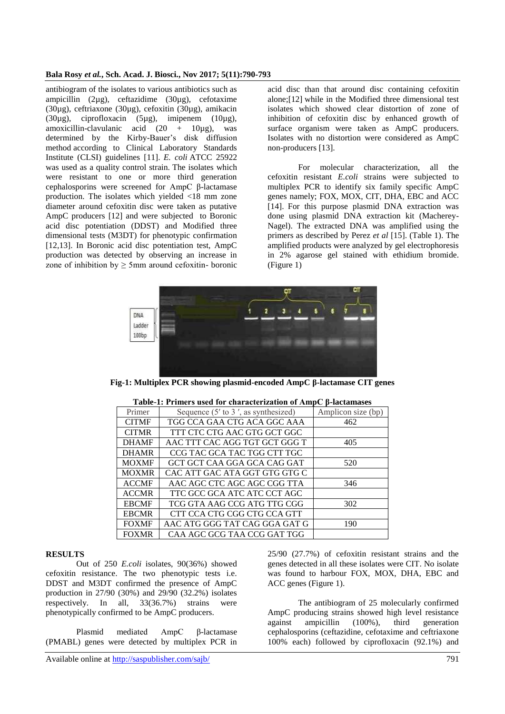#### **Bala Rosy** *et al.***, Sch. Acad. J. Biosci., Nov 2017; 5(11):790-793**

antibiogram of the isolates to various antibiotics such as ampicillin (2µg), ceftazidime (30µg), cefotaxime (30µg), ceftriaxone (30µg), cefoxitin (30µg), amikacin (30µg), ciprofloxacin (5µg), imipenem (10µg), amoxicillin-clavulanic acid  $(20 + 10\mu$ g), was determined by the Kirby-Bauer's disk diffusion method according to Clinical Laboratory Standards Institute (CLSI) guidelines [11]. *E. coli* ATCC 25922 was used as a quality control strain. The isolates which were resistant to one or more third generation cephalosporins were screened for AmpC β-lactamase production. The isolates which yielded <18 mm zone diameter around cefoxitin disc were taken as putative AmpC producers [12] and were subjected to Boronic acid disc potentiation (DDST) and Modified three dimensional tests (M3DT) for phenotypic confirmation [12,13]. In Boronic acid disc potentiation test, AmpC production was detected by observing an increase in zone of inhibition by  $\geq 5$ mm around cefoxitin- boronic

acid disc than that around disc containing cefoxitin alone;[12] while in the Modified three dimensional test isolates which showed clear distortion of zone of inhibition of cefoxitin disc by enhanced growth of surface organism were taken as AmpC producers. Isolates with no distortion were considered as AmpC non-producers [13].

For molecular characterization, all the cefoxitin resistant *E.coli* strains were subjected to multiplex PCR to identify six family specific AmpC genes namely; FOX, MOX, CIT, DHA, EBC and ACC [14]. For this purpose plasmid DNA extraction was done using plasmid DNA extraction kit (Macherey-Nagel). The extracted DNA was amplified using the primers as described by Perez *et al* [15]. (Table 1). The amplified products were analyzed by gel electrophoresis in 2% agarose gel stained with ethidium bromide. (Figure 1)



**Fig-1: Multiplex PCR showing plasmid-encoded AmpC β-lactamase CIT genes**

| Amplicon size (bp) |
|--------------------|
|                    |
|                    |
|                    |
|                    |
|                    |
|                    |
|                    |
|                    |
|                    |
|                    |
|                    |
|                    |
|                    |
|                    |

|  | Table-1: Primers used for characterization of AmpC β-lactamases |  |  |
|--|-----------------------------------------------------------------|--|--|
|  |                                                                 |  |  |

#### **RESULTS**

Out of 250 *E.coli* isolates, 90(36%) showed cefoxitin resistance. The two phenotypic tests i.e. DDST and M3DT confirmed the presence of AmpC production in 27/90 (30%) and 29/90 (32.2%) isolates respectively. In all, 33(36.7%) strains were phenotypically confirmed to be AmpC producers.

Plasmid mediated AmpC β-lactamase (PMABL) genes were detected by multiplex PCR in

25/90 (27.7%) of cefoxitin resistant strains and the genes detected in all these isolates were CIT. No isolate was found to harbour FOX, MOX, DHA, EBC and ACC genes (Figure 1).

The antibiogram of 25 molecularly confirmed AmpC producing strains showed high level resistance against ampicillin (100%), third generation cephalosporins (ceftazidine, cefotaxime and ceftriaxone 100% each) followed by ciprofloxacin (92.1%) and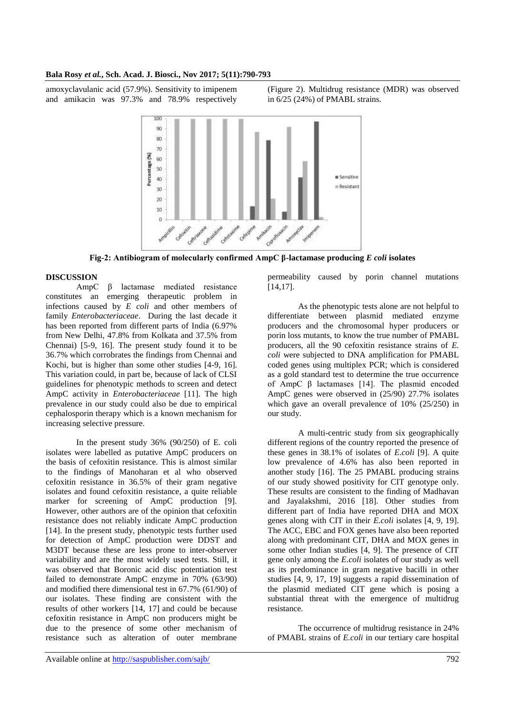amoxyclavulanic acid (57.9%). Sensitivity to imipenem and amikacin was 97.3% and 78.9% respectively (Figure 2). Multidrug resistance (MDR) was observed in 6/25 (24%) of PMABL strains.



**Fig-2: Antibiogram of molecularly confirmed AmpC β-lactamase producing** *E coli* **isolates**

#### **DISCUSSION**

AmpC β lactamase mediated resistance constitutes an emerging therapeutic problem in infections caused by *E coli* and other members of family *Enterobacteriaceae*. During the last decade it has been reported from different parts of India (6.97% from New Delhi, 47.8% from Kolkata and 37.5% from Chennai) [5-9, 16]. The present study found it to be 36.7% which corrobrates the findings from Chennai and Kochi, but is higher than some other studies [4-9, 16]. This variation could, in part be, because of lack of CLSI guidelines for phenotypic methods to screen and detect AmpC activity in *Enterobacteriaceae* [11]. The high prevalence in our study could also be due to empirical cephalosporin therapy which is a known mechanism for increasing selective pressure.

In the present study 36% (90/250) of E. coli isolates were labelled as putative AmpC producers on the basis of cefoxitin resistance. This is almost similar to the findings of Manoharan et al who observed cefoxitin resistance in 36.5% of their gram negative isolates and found cefoxitin resistance, a quite reliable marker for screening of AmpC production [9]. However, other authors are of the opinion that cefoxitin resistance does not reliably indicate AmpC production [14]. In the present study, phenotypic tests further used for detection of AmpC production were DDST and M3DT because these are less prone to inter-observer variability and are the most widely used tests. Still, it was observed that Boronic acid disc potentiation test failed to demonstrate AmpC enzyme in 70% (63/90) and modified there dimensional test in 67.7% (61/90) of our isolates. These finding are consistent with the results of other workers [14, 17] and could be because cefoxitin resistance in AmpC non producers might be due to the presence of some other mechanism of resistance such as alteration of outer membrane

permeability caused by porin channel mutations [14,17].

As the phenotypic tests alone are not helpful to differentiate between plasmid mediated enzyme producers and the chromosomal hyper producers or porin loss mutants, to know the true number of PMABL producers, all the 90 cefoxitin resistance strains of *E. coli* were subjected to DNA amplification for PMABL coded genes using multiplex PCR; which is considered as a gold standard test to determine the true occurrence of AmpC β lactamases [14]. The plasmid encoded AmpC genes were observed in (25/90) 27.7% isolates which gave an overall prevalence of 10% (25/250) in our study.

A multi-centric study from six geographically different regions of the country reported the presence of these genes in 38.1% of isolates of *E.coli* [9]. A quite low prevalence of 4.6% has also been reported in another study [16]. The 25 PMABL producing strains of our study showed positivity for CIT genotype only. These results are consistent to the finding of Madhavan and Jayalakshmi, 2016 [18]. Other studies from different part of India have reported DHA and MOX genes along with CIT in their *E.coli* isolates [4, 9, 19]. The ACC, EBC and FOX genes have also been reported along with predominant CIT, DHA and MOX genes in some other Indian studies [4, 9]. The presence of CIT gene only among the *E.coli* isolates of our study as well as its predominance in gram negative bacilli in other studies [4, 9, 17, 19] suggests a rapid dissemination of the plasmid mediated CIT gene which is posing a substantial threat with the emergence of multidrug resistance.

The occurrence of multidrug resistance in 24% of PMABL strains of *E.coli* in our tertiary care hospital